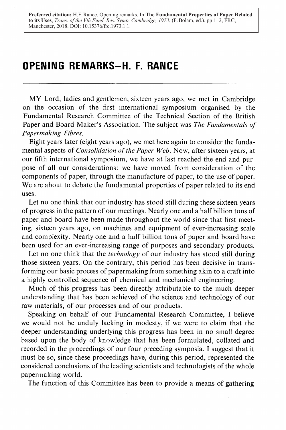**Preferred citation:** H.F. Rance. Opening remarks. In **The Fundamental Properties of Paper Related to its Uses**, *Trans. of the Vth Fund. Res. Symp. Cambridge, 1973*, (F. Bolam, ed.), pp 1–2, FRC, Manchester, 2018. DOI: 10.15376/frc.1973.1.1.

## OPENING REMARKS-H. F. RANCE

MY Lord, ladies and gentlemen, sixteen years ago, we met in Cambridge on the occasion of the first international symposium organised by the Fundamental Research Committee of the Technical Section of the British Paper and Board Maker's Association. The subject was The Fundamentals of Papermaking Fibres.

Eight years later (eight years ago), we met here again to consider the fundamental aspects of *Consolidation of the Paper Web*. Now, after sixteen years, at our fifth international symposium, we have at last reached the end and purpose of all our considerations : we have moved from consideration of the components of paper, through the manufacture of paper, to the use of paper. We are about to debate the fundamental properties of paper related to its end uses.

Let no one think that our industry has stood still during these sixteen years of progress in the pattern of our meetings. Nearly one and a half billion tons of paper and board have been made throughout the world since that first meeting, sixteen years ago, on machines and equipment of ever-increasing scale and complexity. Nearly one and a half billion tons of paper and board have been used for an ever-increasing range of purposes and secondary products.

Let no one think that the *technology* of our industry has stood still during those sixteen years. On the contrary, this period has been decisive in transforming our basic process of papermaking from something akin to a craft into a highly controlled sequence of chemical and mechanical engineering.

Much of this progress has been directly attributable to the much deeper understanding that has been achieved of the science and technology of our raw materials, of our processes and of our products.

Speaking on behalf of our Fundamental Research Committee, <sup>I</sup> believe we would not be unduly lacking in modesty, if we were to claim that the deeper understanding underlying this progress has been in no small degree based upon the body of knowledge that has been formulated, collated and recorded in the proceedings of our four preceding symposia. I suggest that it must be so, since these proceedings have, during this period, represented the considered conclusions of the leading scientists and technologists of the whole papermaking world.

The function of this Committee has been to provide a means of gathering